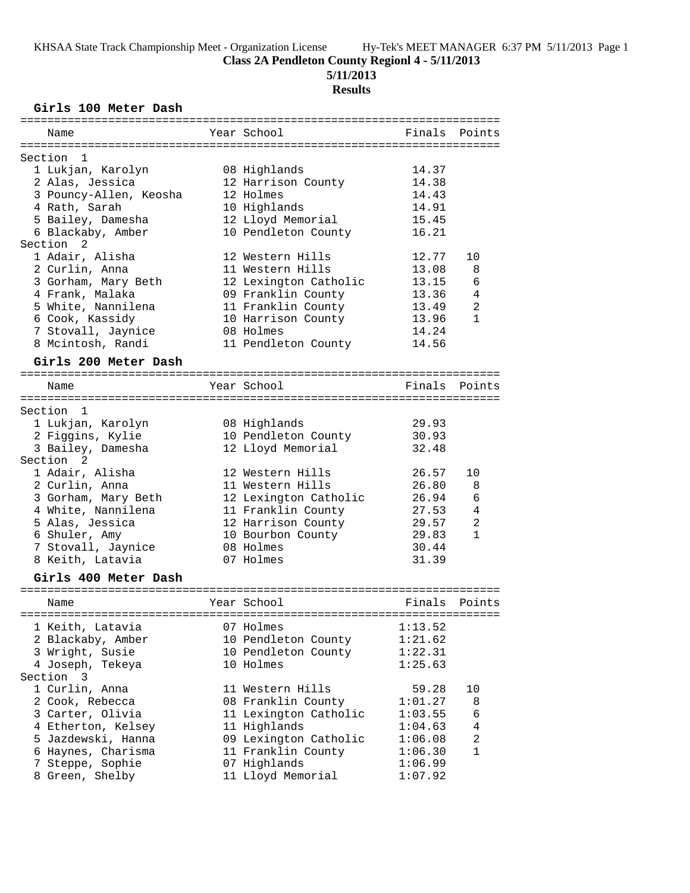**Class 2A Pendleton County Regionl 4 - 5/11/2013**

**5/11/2013**

# **Results**

#### **Girls 100 Meter Dash**

| ==========             |                       |         |                |
|------------------------|-----------------------|---------|----------------|
| Name                   | Year School           | Finals  | Points         |
|                        |                       |         |                |
| Section<br>1           |                       |         |                |
| 1 Lukjan, Karolyn      | 08 Highlands          | 14.37   |                |
| 2 Alas, Jessica        | 12 Harrison County    | 14.38   |                |
| 3 Pouncy-Allen, Keosha | 12 Holmes             | 14.43   |                |
| 4 Rath, Sarah          | 10 Highlands          | 14.91   |                |
| 5 Bailey, Damesha      | 12 Lloyd Memorial     | 15.45   |                |
| 6 Blackaby, Amber      | 10 Pendleton County   | 16.21   |                |
| Section<br>2           |                       |         |                |
| 1 Adair, Alisha        | 12 Western Hills      | 12.77   | 10             |
| 2 Curlin, Anna         | 11 Western Hills      | 13.08   | 8              |
| 3 Gorham, Mary Beth    | 12 Lexington Catholic | 13.15   | 6              |
| 4 Frank, Malaka        | 09 Franklin County    | 13.36   | 4              |
| 5 White, Nannilena     | 11 Franklin County    | 13.49   | $\overline{2}$ |
| 6 Cook, Kassidy        | 10 Harrison County    | 13.96   | $\mathbf{1}$   |
| 7 Stovall, Jaynice     | 08 Holmes             | 14.24   |                |
| 8 Mcintosh, Randi      | 11 Pendleton County   | 14.56   |                |
| Girls 200 Meter Dash   |                       |         |                |
|                        |                       |         |                |
| Name                   | Year School           | Finals  | Points         |
|                        |                       |         |                |
| Section 1              |                       |         |                |
| 1 Lukjan, Karolyn      | 08 Highlands          | 29.93   |                |
| 2 Figgins, Kylie       | 10 Pendleton County   | 30.93   |                |
| 3 Bailey, Damesha      | 12 Lloyd Memorial     | 32.48   |                |
| Section<br>2           |                       |         |                |
| 1 Adair, Alisha        | 12 Western Hills      | 26.57   | 10             |
| 2 Curlin, Anna         | 11 Western Hills      | 26.80   | 8              |
| 3 Gorham, Mary Beth    | 12 Lexington Catholic | 26.94   | 6              |
| 4 White, Nannilena     | 11 Franklin County    | 27.53   | 4              |
| 5 Alas, Jessica        | 12 Harrison County    | 29.57   | $\overline{a}$ |
| 6 Shuler, Amy          | 10 Bourbon County     | 29.83   | $\mathbf{1}$   |
| 7 Stovall, Jaynice     | 08 Holmes             | 30.44   |                |
| 8 Keith, Latavia       | 07 Holmes             | 31.39   |                |
|                        |                       |         |                |
| Girls 400 Meter Dash   |                       |         |                |
|                        |                       |         |                |
| Name                   | Year School           | Finals  | Points         |
|                        |                       |         |                |
| 1 Keith, Latavia       | 07 Holmes             | 1:13.52 |                |
| 2 Blackaby, Amber      | 10 Pendleton County   | 1:21.62 |                |
| 3 Wright, Susie        | 10 Pendleton County   | 1:22.31 |                |
| 4 Joseph, Tekeya       | 10 Holmes             | 1:25.63 |                |
| Section 3              |                       |         |                |
| 1 Curlin, Anna         | 11 Western Hills      | 59.28   | 10             |
| 2 Cook, Rebecca        | 08 Franklin County    | 1:01.27 | 8              |
| 3 Carter, Olivia       | 11 Lexington Catholic | 1:03.55 | 6              |
| 4 Etherton, Kelsey     | 11 Highlands          | 1:04.63 | 4              |
| 5 Jazdewski, Hanna     | 09 Lexington Catholic | 1:06.08 | $\overline{2}$ |
| 6 Haynes, Charisma     | 11 Franklin County    | 1:06.30 | $\mathbf{1}$   |
| 7 Steppe, Sophie       | 07 Highlands          | 1:06.99 |                |
| 8 Green, Shelby        | 11 Lloyd Memorial     | 1:07.92 |                |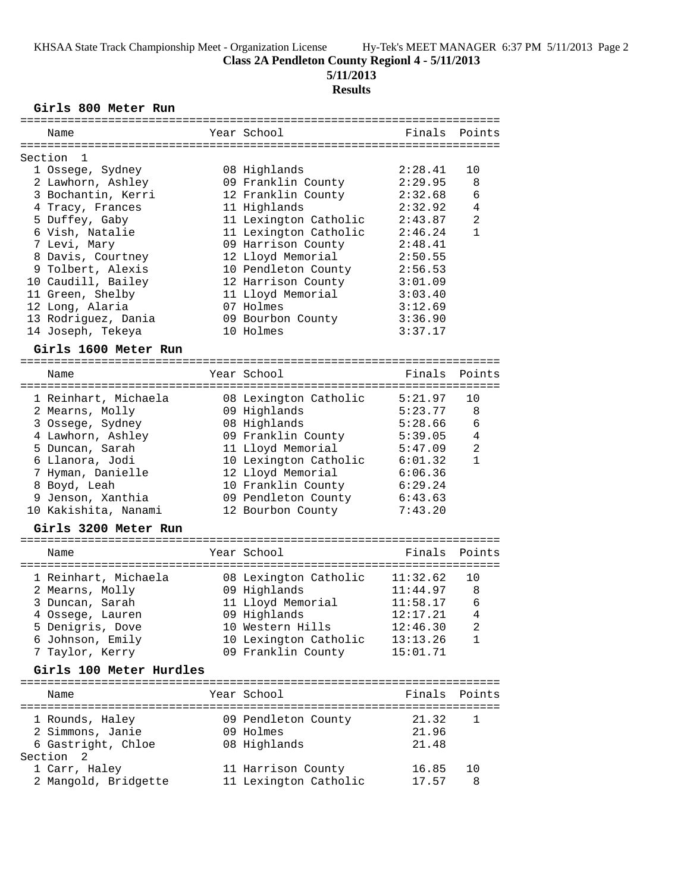**5/11/2013**

### **Results**

#### **Girls 800 Meter Run**

| ===========                      |                       |          |              |
|----------------------------------|-----------------------|----------|--------------|
| Name                             | Year School           | Finals   | Points       |
|                                  |                       |          |              |
| Section<br>1<br>1 Ossege, Sydney | 08 Highlands          | 2:28.41  | 10           |
| 2 Lawhorn, Ashley                | 09 Franklin County    | 2:29.95  | 8            |
| 3 Bochantin, Kerri               | 12 Franklin County    | 2:32.68  | 6            |
| 4 Tracy, Frances                 | 11 Highlands          | 2:32.92  | 4            |
| 5 Duffey, Gaby                   | 11 Lexington Catholic | 2:43.87  | 2            |
| 6 Vish, Natalie                  | 11 Lexington Catholic | 2:46.24  | 1            |
| 7 Levi, Mary                     | 09 Harrison County    | 2:48.41  |              |
| 8 Davis, Courtney                | 12 Lloyd Memorial     | 2:50.55  |              |
| 9 Tolbert, Alexis                | 10 Pendleton County   | 2:56.53  |              |
| 10 Caudill, Bailey               | 12 Harrison County    | 3:01.09  |              |
| 11 Green, Shelby                 | 11 Lloyd Memorial     | 3:03.40  |              |
| 12 Long, Alaria                  | 07 Holmes             | 3:12.69  |              |
| 13 Rodriguez, Dania              | 09 Bourbon County     | 3:36.90  |              |
| 14 Joseph, Tekeya                | 10 Holmes             | 3:37.17  |              |
| Girls 1600 Meter Run             |                       |          |              |
|                                  |                       |          |              |
| Name                             | Year School           | Finals   | Points       |
|                                  |                       |          |              |
| 1 Reinhart, Michaela             | 08 Lexington Catholic | 5:21.97  | 10           |
| 2 Mearns, Molly                  | 09 Highlands          | 5:23.77  | 8            |
| 3 Ossege, Sydney                 | 08 Highlands          | 5:28.66  | 6            |
| 4 Lawhorn, Ashley                | 09 Franklin County    | 5:39.05  | 4            |
| 5 Duncan, Sarah                  | 11 Lloyd Memorial     | 5:47.09  | 2            |
| 6 Llanora, Jodi                  | 10 Lexington Catholic | 6:01.32  | $\mathbf{1}$ |
| 7 Hyman, Danielle                | 12 Lloyd Memorial     | 6:06.36  |              |
| 8 Boyd, Leah                     | 10 Franklin County    | 6:29.24  |              |
| 9 Jenson, Xanthia                | 09 Pendleton County   | 6:43.63  |              |
| 10 Kakishita, Nanami             | 12 Bourbon County     | 7:43.20  |              |
| Girls 3200 Meter Run             |                       |          |              |
|                                  |                       |          |              |
| Name                             | Year School           | Finals   | Points       |
| 1 Reinhart, Michaela             | 08 Lexington Catholic | 11:32.62 | 10           |
| 2 Mearns, Molly                  | 09 Highlands          | 11:44.97 | 8            |
| 3 Duncan, Sarah                  | 11 Lloyd Memorial     | 11:58.17 | 6            |
| 4 Ossege, Lauren                 | 09 Highlands          | 12:17.21 | 4            |
| 5 Denigris, Dove                 | 10 Western Hills      | 12:46.30 | 2            |
| 6 Johnson, Emily                 | 10 Lexington Catholic | 13:13.26 | 1            |
| 7 Taylor, Kerry                  | 09 Franklin County    | 15:01.71 |              |
|                                  |                       |          |              |
| Girls 100 Meter Hurdles          |                       |          |              |
| Name                             | Year School           | Finals   | Points       |
|                                  |                       |          |              |
| 1 Rounds, Haley                  | 09 Pendleton County   | 21.32    | 1            |
| 2 Simmons, Janie                 | 09 Holmes             | 21.96    |              |
| 6 Gastright, Chloe               | 08 Highlands          | 21.48    |              |
| Section<br>2                     |                       |          |              |
| 1 Carr, Haley                    | 11 Harrison County    | 16.85    | 10           |
| 2 Mangold, Bridgette             | 11 Lexington Catholic | 17.57    | 8            |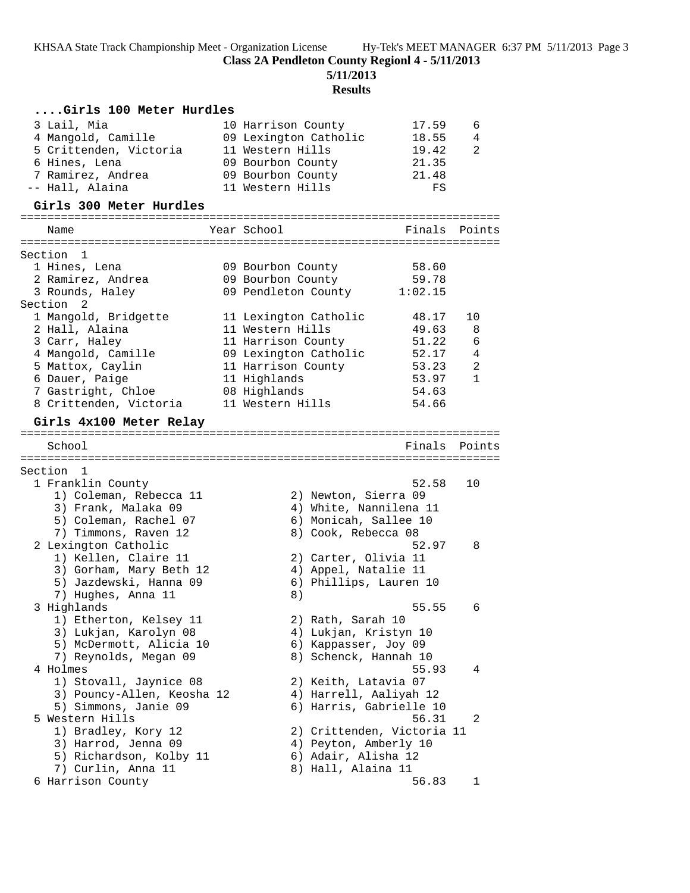**Class 2A Pendleton County Regionl 4 - 5/11/2013**

**5/11/2013**

| Girls 100 Meter Hurdles                                                                                              |                                                                                                                               |                                                 |              |
|----------------------------------------------------------------------------------------------------------------------|-------------------------------------------------------------------------------------------------------------------------------|-------------------------------------------------|--------------|
| 3 Lail, Mia<br>4 Mangold, Camille<br>5 Crittenden, Victoria<br>6 Hines, Lena<br>7 Ramirez, Andrea<br>-- Hall, Alaina | 10 Harrison County<br>09 Lexington Catholic<br>11 Western Hills<br>09 Bourbon County<br>09 Bourbon County<br>11 Western Hills | 17.59<br>18.55<br>19.42<br>21.35<br>21.48<br>FS | 6<br>4<br>2  |
| Girls 300 Meter Hurdles                                                                                              |                                                                                                                               |                                                 |              |
|                                                                                                                      |                                                                                                                               |                                                 |              |
| Name                                                                                                                 | Year School                                                                                                                   | Finals                                          | Points       |
| Section<br>1                                                                                                         |                                                                                                                               |                                                 |              |
| 1 Hines, Lena<br>2 Ramirez, Andrea<br>3 Rounds, Haley                                                                | 09 Bourbon County<br>09 Bourbon County<br>09 Pendleton County                                                                 | 58.60<br>59.78<br>1:02.15                       |              |
| Section 2<br>1 Mangold, Bridgette                                                                                    | 11 Lexington Catholic                                                                                                         | 48.17                                           | 10           |
| 2 Hall, Alaina                                                                                                       | 11 Western Hills                                                                                                              | 49.63                                           | 8            |
| 3 Carr, Haley                                                                                                        | 11 Harrison County                                                                                                            | 51.22                                           | 6            |
| 4 Mangold, Camille                                                                                                   | 09 Lexington Catholic                                                                                                         | 52.17                                           | 4            |
| 5 Mattox, Caylin                                                                                                     | 11 Harrison County                                                                                                            | 53.23                                           | 2            |
| 6 Dauer, Paige                                                                                                       | 11 Highlands                                                                                                                  | 53.97                                           | $\mathbf{1}$ |
| 7 Gastright, Chloe<br>8 Crittenden, Victoria                                                                         | 08 Highlands<br>11 Western Hills                                                                                              | 54.63<br>54.66                                  |              |
| Girls 4x100 Meter Relay                                                                                              |                                                                                                                               |                                                 |              |
|                                                                                                                      |                                                                                                                               |                                                 |              |
| School                                                                                                               |                                                                                                                               | Finals                                          | Points       |
| Section<br>1                                                                                                         |                                                                                                                               |                                                 |              |
| 1 Franklin County                                                                                                    |                                                                                                                               | 52.58                                           | 10           |
| 1) Coleman, Rebecca 11                                                                                               | 2) Newton, Sierra 09                                                                                                          |                                                 |              |
| 3) Frank, Malaka 09                                                                                                  | 4) White, Nannilena 11                                                                                                        |                                                 |              |
| 5) Coleman, Rachel 07                                                                                                | 6) Monicah, Sallee 10                                                                                                         |                                                 |              |
| 7) Timmons, Raven 12<br>2 Lexington Catholic                                                                         | 8) Cook, Rebecca 08                                                                                                           | 52.97                                           | 8            |
| 1) Kellen, Claire 11                                                                                                 | 2) Carter, Olivia 11                                                                                                          |                                                 |              |
| 3) Gorham, Mary Beth 12                                                                                              | 4) Appel, Natalie 11                                                                                                          |                                                 |              |
| 5) Jazdewski, Hanna 09                                                                                               | 6) Phillips, Lauren 10                                                                                                        |                                                 |              |
| 7) Hughes, Anna 11                                                                                                   | 8)                                                                                                                            |                                                 |              |
| 3 Highlands                                                                                                          |                                                                                                                               | 55.55                                           | 6            |
| 1) Etherton, Kelsey 11<br>3) Lukjan, Karolyn 08                                                                      | 2) Rath, Sarah 10<br>4) Lukjan, Kristyn 10                                                                                    |                                                 |              |
| 5) McDermott, Alicia 10                                                                                              | 6) Kappasser, Joy 09                                                                                                          |                                                 |              |
| 7) Reynolds, Megan 09                                                                                                | 8) Schenck, Hannah 10                                                                                                         |                                                 |              |
| 4 Holmes                                                                                                             |                                                                                                                               | 55.93                                           | 4            |
| 1) Stovall, Jaynice 08                                                                                               | 2) Keith, Latavia 07                                                                                                          |                                                 |              |
| 3) Pouncy-Allen, Keosha 12                                                                                           | 4) Harrell, Aaliyah 12                                                                                                        |                                                 |              |
| 5) Simmons, Janie 09<br>5 Western Hills                                                                              | 6) Harris, Gabrielle 10                                                                                                       | 56.31                                           | 2            |
| 1) Bradley, Kory 12                                                                                                  | 2) Crittenden, Victoria 11                                                                                                    |                                                 |              |
| 3) Harrod, Jenna 09                                                                                                  | 4) Peyton, Amberly 10                                                                                                         |                                                 |              |
| 5) Richardson, Kolby 11                                                                                              | 6) Adair, Alisha 12                                                                                                           |                                                 |              |
| 7) Curlin, Anna 11                                                                                                   | 8) Hall, Alaina 11                                                                                                            |                                                 |              |
| 6 Harrison County                                                                                                    |                                                                                                                               | 56.83                                           | ı            |
|                                                                                                                      |                                                                                                                               |                                                 |              |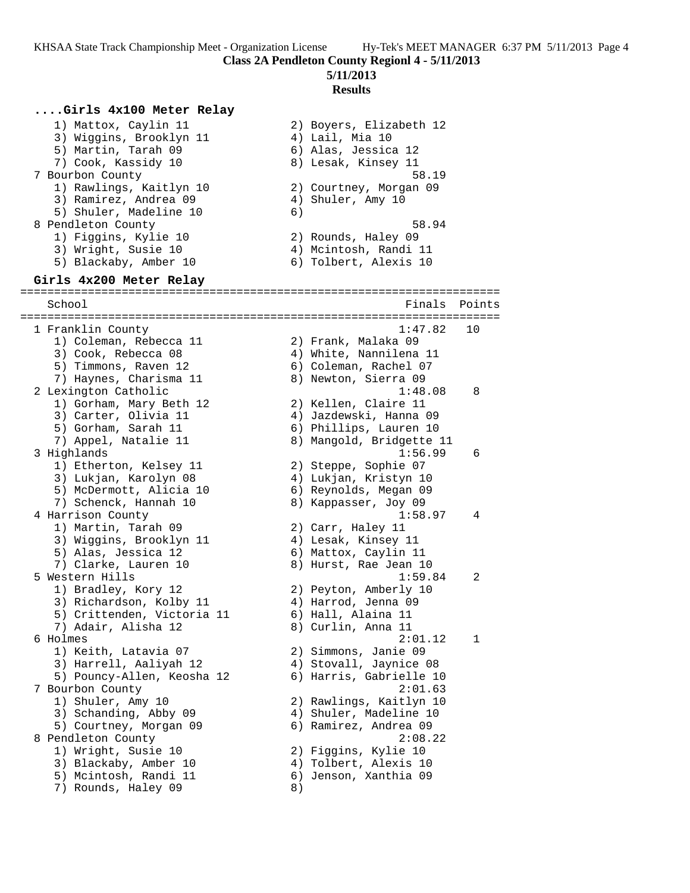KHSAA State Track Championship Meet - Organization License Hy-Tek's MEET MANAGER 6:37 PM 5/11/2013 Page 4 **Class 2A Pendleton County Regionl 4 - 5/11/2013 5/11/2013**

### **Results**

#### **....Girls 4x100 Meter Relay** 1) Mattox, Caylin 11 2) Boyers, Elizabeth 12 3) Wiggins, Brooklyn 11 (4) Lail, Mia 10 5) Martin, Tarah 09 6) Alas, Jessica 12 7) Cook, Kassidy 10  $\hphantom{\text{2.65}$  8) Lesak, Kinsey 11 7 Bourbon County 58.19 1) Rawlings, Kaitlyn 10 2) Courtney, Morgan 09 3) Ramirez, Andrea 09 (4) Shuler, Amy 10 5) Shuler, Madeline 10 6) 8 Pendleton County 58.94 1) Figgins, Kylie 10 2) Rounds, Haley 09 3) Wright, Susie 10 4) Mcintosh, Randi 11 5) Blackaby, Amber 10 6) Tolbert, Alexis 10 **Girls 4x200 Meter Relay** ======================================================================= School **Finals Points** Points Points Points Points Points Points Points Points Points Points Points Points Points Points Points Points Points Points Points Points Points Points Points Points Points Points Points Points Poi ======================================================================= 1 Franklin County 1:47.82 10 1) Coleman, Rebecca 11 2) Frank, Malaka 09 3) Cook, Rebecca 08 4) White, Nannilena 11 5) Timmons, Raven 12 6) Coleman, Rachel 07 7) Haynes, Charisma 11 8) Newton, Sierra 09 2 Lexington Catholic 1:48.08 8 1) Gorham, Mary Beth 12 2) Kellen, Claire 11 3) Carter, Olivia 11 4) Jazdewski, Hanna 09 5) Gorham, Sarah 11 6) Phillips, Lauren 10 7) Appel, Natalie 11 8) Mangold, Bridgette 11 3 Highlands 1:56.99 6 1) Etherton, Kelsey 11 2) Steppe, Sophie 07 3) Lukjan, Karolyn 08 4) Lukjan, Kristyn 10 5) McDermott, Alicia 10 6) Reynolds, Megan 09 7) Schenck, Hannah 10 8) Kappasser, Joy 09 4 Harrison County 1:58.97 4 1) Martin, Tarah 09 2) Carr, Haley 11 3) Wiggins, Brooklyn 11 4) Lesak, Kinsey 11 5) Alas, Jessica 12 6) Mattox, Caylin 11 7) Clarke, Lauren 10 8) Hurst, Rae Jean 10 5 Western Hills 1:59.84 2 1) Bradley, Kory 12 2) Peyton, Amberly 10 3) Richardson, Kolby 11 (4) Harrod, Jenna 09 5) Crittenden, Victoria 11  $\qquad\qquad$  6) Hall, Alaina 11 7) Adair, Alisha 12 8) Curlin, Anna 11 6 Holmes 2:01.12 1 1) Keith, Latavia 07 2) Simmons, Janie 09 3) Harrell, Aaliyah 12 4) Stovall, Jaynice 08 5) Pouncy-Allen, Keosha 12 6) Harris, Gabrielle 10 7 Bourbon County 2:01.63 1) Shuler, Amy 10 2) Rawlings, Kaitlyn 10 3) Schanding, Abby 09 4) Shuler, Madeline 10 5) Courtney, Morgan 09 6) Ramirez, Andrea 09 8 Pendleton County 2:08.22 1) Wright, Susie 10 2) Figgins, Kylie 10 3) Blackaby, Amber 10 4) Tolbert, Alexis 10 5) Mcintosh, Randi 11 6) Jenson, Xanthia 09 7) Rounds, Haley 09 8)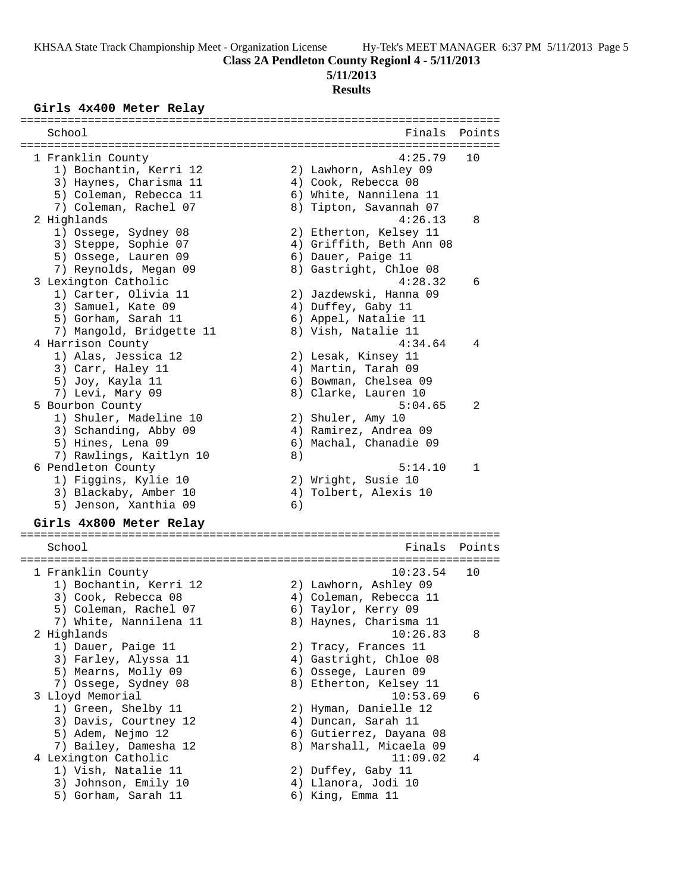# **5/11/2013**

#### **Results**

#### **Girls 4x400 Meter Relay**

| School                                                          |    | Finals                         | Points       |
|-----------------------------------------------------------------|----|--------------------------------|--------------|
| =============                                                   |    |                                |              |
|                                                                 |    |                                |              |
| 1 Franklin County                                               |    | 4:25.79                        | 10           |
| 1) Bochantin, Kerri 12                                          |    | 2) Lawhorn, Ashley 09          |              |
| 3) Haynes, Charisma 11                                          |    | 4) Cook, Rebecca 08            |              |
| 5) Coleman, Rebecca 11                                          |    | 6) White, Nannilena 11         |              |
| 7) Coleman, Rachel 07                                           |    | 8) Tipton, Savannah 07         |              |
| 2 Highlands                                                     |    | 4:26.13                        | 8            |
| 1) Ossege, Sydney 08                                            |    | 2) Etherton, Kelsey 11         |              |
| 3) Steppe, Sophie 07                                            |    | 4) Griffith, Beth Ann 08       |              |
| 5) Ossege, Lauren 09                                            |    | 6) Dauer, Paige 11             |              |
| 7) Reynolds, Megan 09                                           |    | 8) Gastright, Chloe 08         |              |
| 3 Lexington Catholic                                            |    | 4:28.32                        | 6            |
| 1) Carter, Olivia 11                                            |    | 2) Jazdewski, Hanna 09         |              |
| 3) Samuel, Kate 09                                              |    | 4) Duffey, Gaby 11             |              |
| 5) Gorham, Sarah 11                                             |    | 6) Appel, Natalie 11           |              |
| 7) Mangold, Bridgette 11                                        |    | 8) Vish, Natalie 11            |              |
| 4 Harrison County                                               |    | 4:34.64                        | 4            |
| 1) Alas, Jessica 12                                             |    | 2) Lesak, Kinsey 11            |              |
| 3) Carr, Haley 11                                               |    | 4) Martin, Tarah 09            |              |
| 5) Joy, Kayla 11                                                |    | 6) Bowman, Chelsea 09          |              |
| 7) Levi, Mary 09                                                |    | 8) Clarke, Lauren 10           |              |
| 5 Bourbon County                                                |    | 5:04.65                        | 2            |
| 1) Shuler, Madeline 10                                          |    | 2) Shuler, Amy 10              |              |
| 3) Schanding, Abby 09                                           |    | 4) Ramirez, Andrea 09          |              |
| 5) Hines, Lena 09                                               |    | 6) Machal, Chanadie 09         |              |
| 7) Rawlings, Kaitlyn 10                                         | 8) |                                |              |
| 6 Pendleton County                                              |    | 5:14.10                        | $\mathbf{1}$ |
| 1) Figgins, Kylie 10                                            |    | 2) Wright, Susie 10            |              |
| 3) Blackaby, Amber 10                                           |    | 4) Tolbert, Alexis 10          |              |
| 5) Jenson, Xanthia 09                                           | 6) |                                |              |
|                                                                 |    |                                |              |
| Girls 4x800 Meter Relay<br>;=================================== |    | ------------------------------ |              |
| School                                                          |    | Finals                         | Points       |
|                                                                 |    |                                |              |
| 1 Franklin County                                               |    | 10:23.54                       | 10           |
| 1) Bochantin, Kerri 12                                          |    | 2) Lawhorn, Ashley 09          |              |

 1) Bochantin, Kerri 12 2) Lawhorn, Ashley 09 3) Cook, Rebecca 08 4) Coleman, Rebecca 11 5) Coleman, Rachel 07 (6) Taylor, Kerry 09 7) White, Nannilena 11 8) Haynes, Charisma 11 2 Highlands 10:26.83 8 1) Dauer, Paige 11 2) Tracy, Frances 11 3) Farley, Alyssa 11 4) Gastright, Chloe 08 5) Mearns, Molly 09  $\,$  6) Ossege, Lauren 09 7) Ossege, Sydney 08 8 8) Etherton, Kelsey 11 3 Lloyd Memorial 10:53.69 6 1) Green, Shelby 11 2) Hyman, Danielle 12 3) Davis, Courtney 12 (4) Duncan, Sarah 11 5) Adem, Nejmo 12 6) Gutierrez, Dayana 08 7) Bailey, Damesha 12 8) Marshall, Micaela 09 4 Lexington Catholic 11:09.02 4 1) Vish, Natalie 11 2) Duffey, Gaby 11 3) Johnson, Emily 10 4) Llanora, Jodi 10 5) Gorham, Sarah 11 (6) King, Emma 11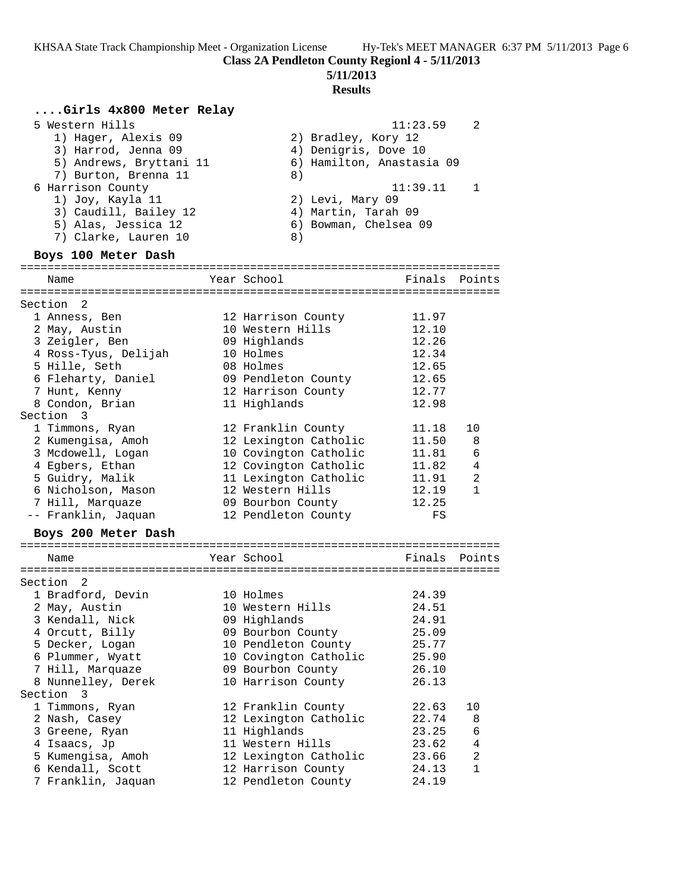#### **5/11/2013**

#### **Results**

## **....Girls 4x800 Meter Relay**

| 5 Western Hills         | - 2<br>11:23.59           |
|-------------------------|---------------------------|
| 1) Hager, Alexis 09     | 2) Bradley, Kory 12       |
| 3) Harrod, Jenna 09     | 4) Denigris, Dove 10      |
| 5) Andrews, Bryttani 11 | 6) Hamilton, Anastasia 09 |

- 7) Burton, Brenna 11 and 8) 6 Harrison County 11:39.11 1 1) Joy, Kayla 11 2) Levi, Mary 09
- 3) Caudill, Bailey 12 (4) Martin, Tarah 09 5) Alas, Jessica 12 6) Bowman, Chelsea 09 7) Clarke, Lauren 10 (8) **Boys 100 Meter Dash**

======================================================================= Name The Year School The Finals Points ======================================================================= Section 2 1 Anness, Ben 12 Harrison County 11.97 2 May, Austin 10 Western Hills 12.10 3 Zeigler, Ben 09 Highlands 12.26 4 Ross-Tyus, Delijah 10 Holmes 12.34 5 Hille, Seth 08 Holmes 12.65 6 Fleharty, Daniel 09 Pendleton County 12.65 7 Hunt, Kenny 12 Harrison County 12.77 8 Condon, Brian 11 Highlands 12.98 Section 3 1 Timmons, Ryan 12 Franklin County 11.18 10 2 Kumengisa, Amoh 12 Lexington Catholic 11.50 8 3 Mcdowell, Logan 10 Covington Catholic 11.81 6 4 Egbers, Ethan 12 Covington Catholic 11.82 4 5 Guidry, Malik 11 Lexington Catholic 11.91 2 6 Nicholson, Mason 12 Western Hills 12.19 1 7 Hill, Marquaze 09 Bourbon County 12.25

-- Franklin, Jaquan 12 Pendleton County FS

### **Boys 200 Meter Dash**

| Name               | Year School           | Finals | Points         |
|--------------------|-----------------------|--------|----------------|
|                    |                       |        |                |
| Section 2          |                       |        |                |
| 1 Bradford, Devin  | 10 Holmes             | 24.39  |                |
| 2 May, Austin      | 10 Western Hills      | 24.51  |                |
| 3 Kendall, Nick    | 09 Highlands          | 24.91  |                |
| 4 Orcutt, Billy    | 09 Bourbon County     | 25.09  |                |
| 5 Decker, Logan    | 10 Pendleton County   | 25.77  |                |
| 6 Plummer, Wyatt   | 10 Covington Catholic | 25.90  |                |
| 7 Hill, Marquaze   | 09 Bourbon County     | 26.10  |                |
| 8 Nunnelley, Derek | 10 Harrison County    | 26.13  |                |
| Section 3          |                       |        |                |
| 1 Timmons, Ryan    | 12 Franklin County    | 22.63  | 10             |
| 2 Nash, Casey      | 12 Lexington Catholic | 22.74  | 8              |
| 3 Greene, Ryan     | 11 Highlands          | 23.25  | 6              |
| 4 Isaacs, Jp       | 11 Western Hills      | 23.62  | $\overline{4}$ |
| 5 Kumengisa, Amoh  | 12 Lexington Catholic | 23.66  | $\overline{2}$ |
| 6 Kendall, Scott   | 12 Harrison County    | 24.13  | 1              |
| 7 Franklin, Jaquan | 12 Pendleton County   | 24.19  |                |
|                    |                       |        |                |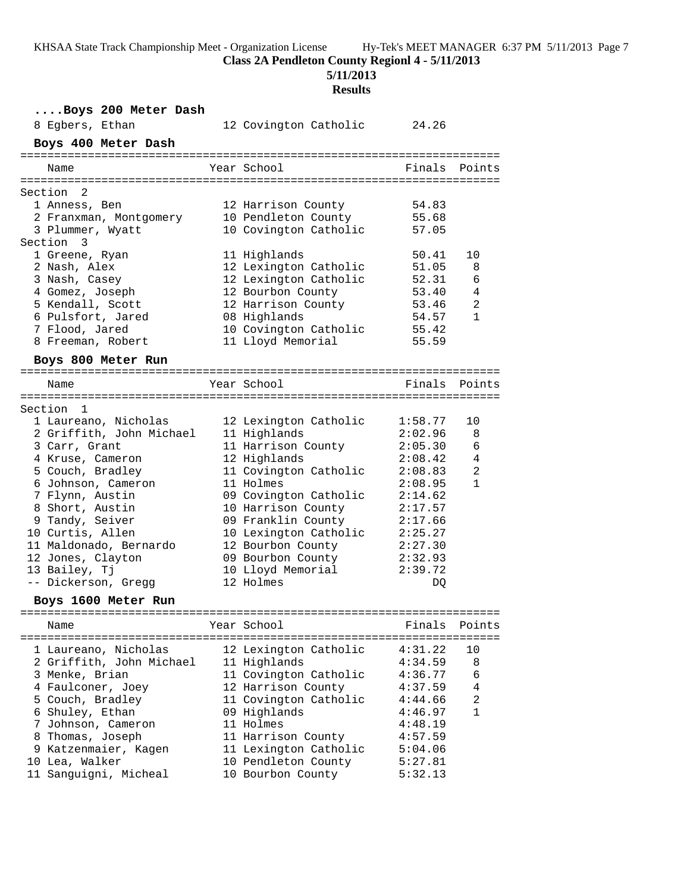**Class 2A Pendleton County Regionl 4 - 5/11/2013**

**5/11/2013**

| Boys 200 Meter Dash<br>8 Egbers, Ethan | 12 Covington Catholic | 24.26   |                |
|----------------------------------------|-----------------------|---------|----------------|
| Boys 400 Meter Dash                    |                       |         |                |
| Name                                   | Year School           | Finals  | Points         |
| Section 2                              |                       |         |                |
| 1 Anness, Ben                          | 12 Harrison County    | 54.83   |                |
| 2 Franxman, Montgomery                 | 10 Pendleton County   | 55.68   |                |
| 3 Plummer, Wyatt                       | 10 Covington Catholic | 57.05   |                |
| Section 3                              |                       |         |                |
| 1 Greene, Ryan                         | 11 Highlands          | 50.41   | 10             |
| 2 Nash, Alex                           | 12 Lexington Catholic | 51.05   | 8              |
| 3 Nash, Casey                          | 12 Lexington Catholic | 52.31   | 6              |
| 4 Gomez, Joseph                        | 12 Bourbon County     | 53.40   | 4              |
| 5 Kendall, Scott                       | 12 Harrison County    | 53.46   | 2              |
| 6 Pulsfort, Jared                      | 08 Highlands          | 54.57   | $\mathbf{1}$   |
| 7 Flood, Jared                         | 10 Covington Catholic | 55.42   |                |
| 8 Freeman, Robert                      | 11 Lloyd Memorial     | 55.59   |                |
| Boys 800 Meter Run                     |                       |         |                |
|                                        |                       |         |                |
| Name                                   | Year School           | Finals  | Points         |
| Section 1                              |                       |         |                |
| 1 Laureano, Nicholas                   | 12 Lexington Catholic | 1:58.77 | 10             |
| 2 Griffith, John Michael               | 11 Highlands          | 2:02.96 | 8              |
| 3 Carr, Grant                          | 11 Harrison County    | 2:05.30 | 6              |
| 4 Kruse, Cameron                       | 12 Highlands          | 2:08.42 | 4              |
| 5 Couch, Bradley                       | 11 Covington Catholic | 2:08.83 | 2              |
| 6 Johnson, Cameron                     | 11 Holmes             | 2:08.95 | $\mathbf{1}$   |
| 7 Flynn, Austin                        | 09 Covington Catholic | 2:14.62 |                |
| 8 Short, Austin                        | 10 Harrison County    | 2:17.57 |                |
| 9 Tandy, Seiver                        | 09 Franklin County    | 2:17.66 |                |
| 10 Curtis, Allen                       | 10 Lexington Catholic | 2:25.27 |                |
| 11 Maldonado, Bernardo                 | 12 Bourbon County     | 2:27.30 |                |
| 12 Jones, Clayton                      | 09 Bourbon County     | 2:32.93 |                |
| 13 Bailey, Tj                          | 10 Lloyd Memorial     | 2:39.72 |                |
| -- Dickerson, Gregg                    | 12 Holmes             | DQ      |                |
| Boys 1600 Meter Run                    |                       |         |                |
|                                        | Year School           | Finals  | Points         |
| Name                                   |                       |         |                |
| 1 Laureano, Nicholas                   | 12 Lexington Catholic | 4:31.22 | 10             |
| 2 Griffith, John Michael               | 11 Highlands          | 4:34.59 | 8              |
| 3 Menke, Brian                         | 11 Covington Catholic | 4:36.77 | 6              |
| 4 Faulconer, Joey                      | 12 Harrison County    | 4:37.59 | $\overline{4}$ |
| 5 Couch, Bradley                       | 11 Covington Catholic | 4:44.66 | 2              |
| 6 Shuley, Ethan                        | 09 Highlands          | 4:46.97 | $\mathbf{1}$   |
| 7 Johnson, Cameron                     | 11 Holmes             | 4:48.19 |                |
| 8 Thomas, Joseph                       | 11 Harrison County    | 4:57.59 |                |
| 9 Katzenmaier, Kagen                   | 11 Lexington Catholic | 5:04.06 |                |
| 10 Lea, Walker                         | 10 Pendleton County   | 5:27.81 |                |
| 11 Sanguigni, Micheal                  | 10 Bourbon County     | 5:32.13 |                |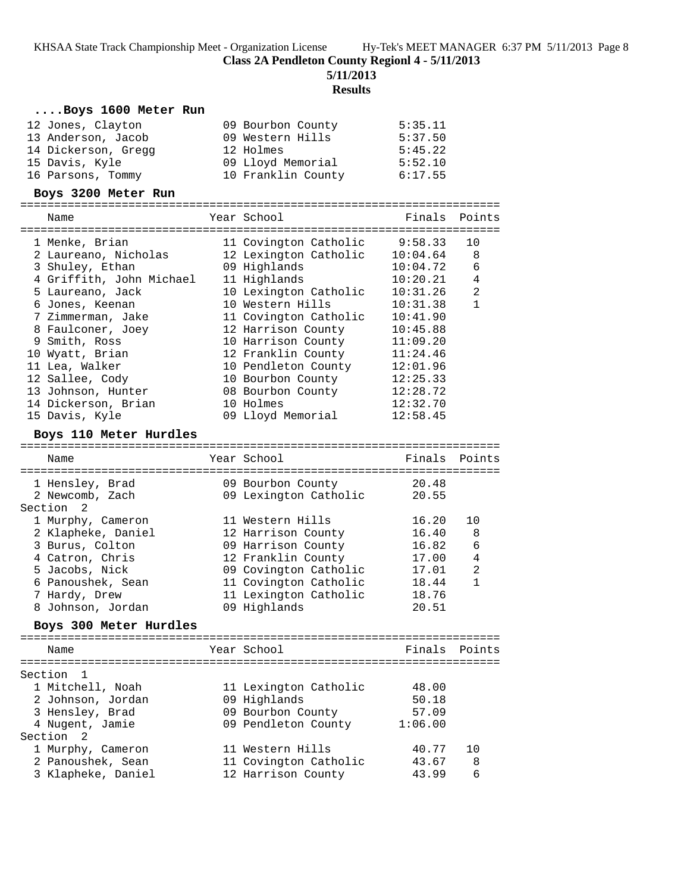**Class 2A Pendleton County Regionl 4 - 5/11/2013**

**5/11/2013**

| Boys 1600 Meter Run                    |                                           |                |                |
|----------------------------------------|-------------------------------------------|----------------|----------------|
| 12 Jones, Clayton                      | 09 Bourbon County                         | 5:35.11        |                |
| 13 Anderson, Jacob                     | 09 Western Hills                          | 5:37.50        |                |
| 14 Dickerson, Gregg                    | 12 Holmes                                 | 5:45.22        |                |
| 15 Davis, Kyle                         | 09 Lloyd Memorial                         | 5:52.10        |                |
| 16 Parsons, Tommy                      | 10 Franklin County 6:17.55                |                |                |
| Boys 3200 Meter Run                    |                                           |                |                |
| Name                                   | Year School                               | Finals         | Points         |
|                                        |                                           |                |                |
| 1 Menke, Brian                         | 11 Covington Catholic                     | 9:58.33        | 10             |
| 2 Laureano, Nicholas                   | 12 Lexington Catholic 10:04.64            |                | 8              |
| 3 Shuley, Ethan                        | 09 Highlands                              | 10:04.72       | 6              |
| 4 Griffith, John Michael               | 11 Highlands                              | 10:20.21       | $\overline{4}$ |
| 5 Laureano, Jack                       | 10 Lexington Catholic                     | 10:31.26       | 2              |
| 6 Jones, Keenan                        | 10 Western Hills                          | 10:31.38       | $\mathbf{1}$   |
| 7 Zimmerman, Jake                      | 11 Covington Catholic                     | 10:41.90       |                |
| 8 Faulconer, Joey                      | 12 Harrison County                        | 10:45.88       |                |
| 9 Smith, Ross                          | 10 Harrison County                        | 11:09.20       |                |
| 10 Wyatt, Brian                        | 12 Franklin County                        | 11:24.46       |                |
| 11 Lea, Walker                         | 10 Pendleton County                       | 12:01.96       |                |
| 12 Sallee, Cody                        | 10 Bourbon County                         | 12:25.33       |                |
| 13 Johnson, Hunter                     | 08 Bourbon County                         | 12:28.72       |                |
| 14 Dickerson, Brian                    | 10 Holmes                                 | 12:32.70       |                |
| 15 Davis, Kyle                         | 09 Lloyd Memorial                         | 12:58.45       |                |
|                                        |                                           |                |                |
| Boys 110 Meter Hurdles                 |                                           |                |                |
| Name                                   | Year School                               |                | Finals Points  |
|                                        |                                           |                |                |
| 1 Hensley, Brad                        | 09 Bourbon County                         | 20.48          |                |
| 2 Newcomb, Zach                        | 09 Lexington Catholic                     | 20.55          |                |
| Section <sub>2</sub>                   |                                           |                |                |
| 1 Murphy, Cameron                      | 11 Western Hills                          | 16.20          | 10             |
| 2 Klapheke, Daniel                     | 12 Harrison County                        | 16.40          | 8              |
| 3 Burus, Colton                        | 09 Harrison County                        | 16.82          | 6              |
| 4 Catron, Chris                        | 12 Franklin County                        | 17.00          | $\overline{4}$ |
| 5 Jacobs, Nick                         | 09 Covington Catholic                     | 17.01          | 2              |
| 6 Panoushek, Sean                      | 11 Covington Catholic                     | 18.44          | $\mathbf{1}$   |
| 7 Hardy, Drew                          |                                           |                |                |
|                                        | 11 Lexington Catholic                     | 18.76          |                |
| 8 Johnson, Jordan                      | 09 Highlands                              | 20.51          |                |
| Boys 300 Meter Hurdles                 |                                           |                |                |
|                                        |                                           |                |                |
| Name                                   | Year School                               | Finals         | Points         |
| Section<br>- 1                         |                                           |                |                |
| 1 Mitchell, Noah                       |                                           | 48.00          |                |
| 2 Johnson, Jordan                      | 11 Lexington Catholic<br>09 Highlands     | 50.18          |                |
| 3 Hensley, Brad                        | 09 Bourbon County                         | 57.09          |                |
|                                        |                                           | 1:06.00        |                |
| 4 Nugent, Jamie<br>Section<br>2        | 09 Pendleton County                       |                |                |
|                                        |                                           |                | 10             |
| 1 Murphy, Cameron<br>2 Panoushek, Sean | 11 Western Hills<br>11 Covington Catholic | 40.77<br>43.67 | 8              |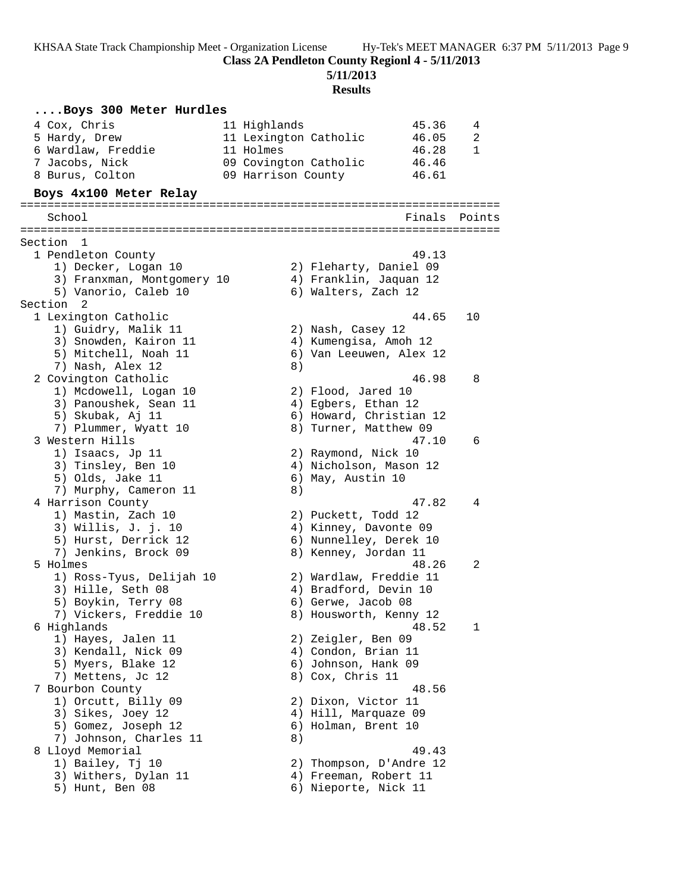**Class 2A Pendleton County Regionl 4 - 5/11/2013**

**5/11/2013**

| Boys 300 Meter Hurdles                            |                       |                                                  |        |              |
|---------------------------------------------------|-----------------------|--------------------------------------------------|--------|--------------|
| 4 Cox, Chris                                      | 11 Highlands          |                                                  | 45.36  | 4            |
| 5 Hardy, Drew                                     | 11 Lexington Catholic |                                                  | 46.05  | 2            |
| 6 Wardlaw, Freddie                                | 11 Holmes             |                                                  | 46.28  | $\mathbf{1}$ |
| 7 Jacobs, Nick                                    | 09 Covington Catholic |                                                  | 46.46  |              |
| 8 Burus, Colton                                   | 09 Harrison County    |                                                  | 46.61  |              |
| Boys 4x100 Meter Relay                            |                       |                                                  |        |              |
| School                                            |                       |                                                  | Finals | Points       |
|                                                   |                       |                                                  |        |              |
| Section<br>1                                      |                       |                                                  |        |              |
| 1 Pendleton County                                |                       |                                                  | 49.13  |              |
| 1) Decker, Logan 10<br>3) Franxman, Montgomery 10 |                       | 2) Fleharty, Daniel 09<br>4) Franklin, Jaquan 12 |        |              |
| 5) Vanorio, Caleb 10                              |                       | 6) Walters, Zach 12                              |        |              |
| Section 2                                         |                       |                                                  |        |              |
| 1 Lexington Catholic                              |                       |                                                  | 44.65  | 10           |
| 1) Guidry, Malik 11                               |                       | 2) Nash, Casey 12                                |        |              |
| 3) Snowden, Kairon 11                             |                       | 4) Kumengisa, Amoh 12                            |        |              |
| 5) Mitchell, Noah 11                              |                       | 6) Van Leeuwen, Alex 12                          |        |              |
| 7) Nash, Alex 12                                  | 8)                    |                                                  |        |              |
| 2 Covington Catholic                              |                       |                                                  | 46.98  | 8            |
| 1) Mcdowell, Logan 10                             |                       | 2) Flood, Jared 10                               |        |              |
| 3) Panoushek, Sean 11                             |                       | 4) Egbers, Ethan 12                              |        |              |
| 5) Skubak, Aj 11                                  |                       | 6) Howard, Christian 12                          |        |              |
| 7) Plummer, Wyatt 10                              |                       | 8) Turner, Matthew 09                            |        |              |
| 3 Western Hills                                   |                       |                                                  | 47.10  | 6            |
| 1) Isaacs, Jp 11                                  |                       | 2) Raymond, Nick 10                              |        |              |
| 3) Tinsley, Ben 10                                |                       | 4) Nicholson, Mason 12                           |        |              |
| 5) Olds, Jake 11                                  | 8)                    | 6) May, Austin 10                                |        |              |
| 7) Murphy, Cameron 11<br>4 Harrison County        |                       |                                                  | 47.82  | 4            |
| 1) Mastin, Zach 10                                |                       | 2) Puckett, Todd 12                              |        |              |
| 3) Willis, J. j. 10                               |                       | 4) Kinney, Davonte 09                            |        |              |
| 5) Hurst, Derrick 12                              |                       | 6) Nunnelley, Derek 10                           |        |              |
| 7) Jenkins, Brock 09                              |                       | 8) Kenney, Jordan 11                             |        |              |
| 5 Holmes                                          |                       |                                                  | 48.26  | 2            |
| 1) Ross-Tyus, Delijah 10                          |                       | 2) Wardlaw, Freddie 11                           |        |              |
| 3) Hille, Seth 08                                 |                       | 4) Bradford, Devin 10                            |        |              |
| 5) Boykin, Terry 08                               |                       | 6) Gerwe, Jacob 08                               |        |              |
| 7) Vickers, Freddie 10                            |                       | 8) Housworth, Kenny 12                           |        |              |
| 6 Highlands                                       |                       |                                                  | 48.52  | 1            |
| 1) Hayes, Jalen 11                                |                       | 2) Zeigler, Ben 09                               |        |              |
| 3) Kendall, Nick 09                               |                       | 4) Condon, Brian 11                              |        |              |
| 5) Myers, Blake 12                                |                       | 6) Johnson, Hank 09                              |        |              |
| 7) Mettens, Jc 12<br>7 Bourbon County             |                       | 8) Cox, Chris 11                                 |        |              |
| 1) Orcutt, Billy 09                               |                       | 2) Dixon, Victor 11                              | 48.56  |              |
| 3) Sikes, Joey 12                                 |                       | 4) Hill, Marquaze 09                             |        |              |
| 5) Gomez, Joseph 12                               |                       | 6) Holman, Brent 10                              |        |              |
| 7) Johnson, Charles 11                            | 8)                    |                                                  |        |              |
| 8 Lloyd Memorial                                  |                       |                                                  | 49.43  |              |
| 1) Bailey, Tj 10                                  |                       | 2) Thompson, D'Andre 12                          |        |              |
| 3) Withers, Dylan 11                              |                       | 4) Freeman, Robert 11                            |        |              |
| 5) Hunt, Ben 08                                   |                       | 6) Nieporte, Nick 11                             |        |              |
|                                                   |                       |                                                  |        |              |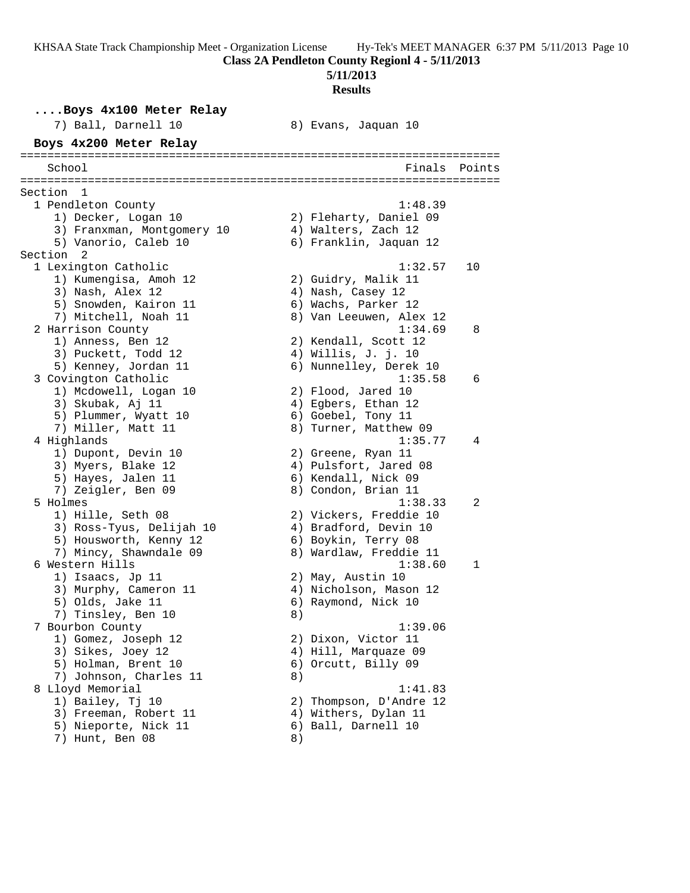#### **5/11/2013**

#### **Results**

**....Boys 4x100 Meter Relay** 7) Ball, Darnell 10 8) Evans, Jaquan 10 **Boys 4x200 Meter Relay** ======================================================================= School **Finals** Points ======================================================================= Section 1 1 Pendleton County 1:48.39 1) Decker, Logan 10 2) Fleharty, Daniel 09 3) Franxman, Montgomery 10 4) Walters, Zach 12 5) Vanorio, Caleb 10 6) Franklin, Jaquan 12 Section 2<br>1 Lexington Catholic 1 Lexington Catholic 1:32.57 10 1) Kumengisa, Amoh 12 2) Guidry, Malik 11 3) Nash, Alex 12 (2008) 4) Nash, Casey 12 5) Snowden, Kairon 11 6) Wachs, Parker 12 7) Mitchell, Noah 11 8) Van Leeuwen, Alex 12 2 Harrison County 1:34.69 8 1) Anness, Ben 12 2) Kendall, Scott 12 3) Puckett, Todd 12 4) Willis, J. j. 10 5) Kenney, Jordan 11  $\hskip1cm \hskip1cm 6)$  Nunnelley, Derek 10 3 Covington Catholic 1:35.58 6 1) Mcdowell, Logan 10 2) Flood, Jared 10 3) Skubak, Aj 11 (4) Egbers, Ethan 12 5) Plummer, Wyatt 10 (6) Goebel, Tony 11 7) Miller, Matt 11 8) Turner, Matthew 09 4 Highlands 1:35.77 4 1) Dupont, Devin 10 2) Greene, Ryan 11 3) Myers, Blake 12 4) Pulsfort, Jared 08 5) Hayes, Jalen 11 6) Kendall, Nick 09 7) Zeigler, Ben 09 8) Condon, Brian 11 5 Holmes 1:38.33 2 1) Hille, Seth 08 2) Vickers, Freddie 10 3) Ross-Tyus, Delijah 10 4) Bradford, Devin 10 5) Housworth, Kenny 12 6) Boykin, Terry 08 7) Mincy, Shawndale 09 8) Wardlaw, Freddie 11 6 Western Hills 1:38.60 1 1) Isaacs, Jp 11 2) May, Austin 10 3) Murphy, Cameron 11 4) Nicholson, Mason 12 5) Olds, Jake 11 6) Raymond, Nick 10 7) Tinsley, Ben 10 8) 7 Bourbon County 1:39.06 1) Gomez, Joseph 12 2) Dixon, Victor 11 3) Sikes, Joey 12 4) Hill, Marquaze 09 5) Holman, Brent 10 (6) Orcutt, Billy 09 7) Johnson, Charles 11 8) 8 Lloyd Memorial 1:41.83 1) Bailey, Tj 10 2) Thompson, D'Andre 12 3) Freeman, Robert 11 (4) Withers, Dylan 11 5) Nieporte, Nick 11 6) Ball, Darnell 10 7) Hunt, Ben 08 8)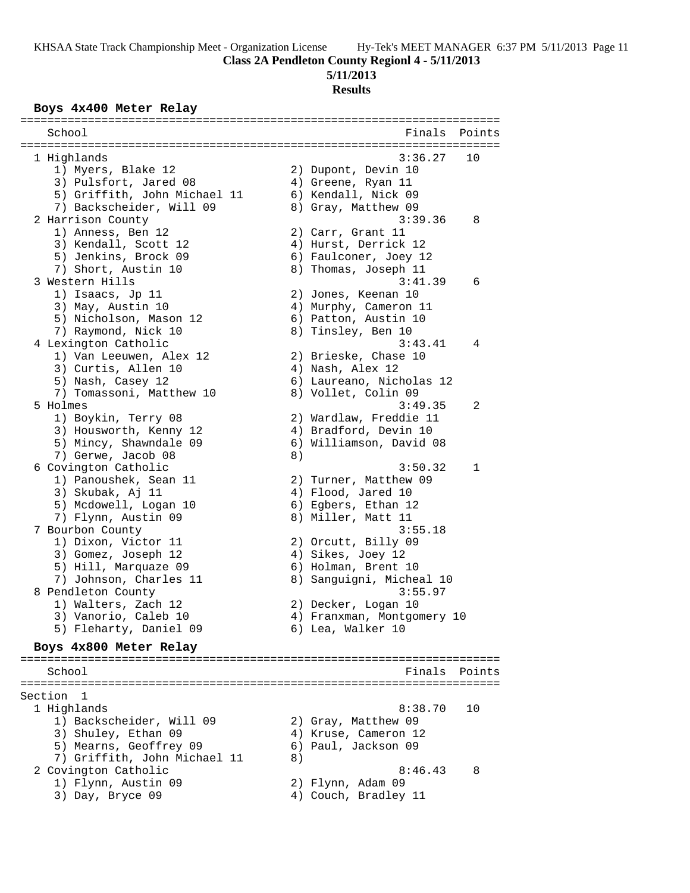**Class 2A Pendleton County Regionl 4 - 5/11/2013**

# **5/11/2013**

# **Results**

# **Boys 4x400 Meter Relay**

| School                       |    | Finals                     | Points       |
|------------------------------|----|----------------------------|--------------|
|                              |    |                            |              |
| 1 Highlands                  |    | 3:36.27                    | 10           |
| 1) Myers, Blake 12           |    | 2) Dupont, Devin 10        |              |
| 3) Pulsfort, Jared 08        |    | 4) Greene, Ryan 11         |              |
| 5) Griffith, John Michael 11 |    | 6) Kendall, Nick 09        |              |
| 7) Backscheider, Will 09     |    | 8) Gray, Matthew 09        |              |
| 2 Harrison County            |    | 3:39.36                    | 8            |
| 1) Anness, Ben 12            |    | 2) Carr, Grant 11          |              |
| 3) Kendall, Scott 12         |    | 4) Hurst, Derrick 12       |              |
| 5) Jenkins, Brock 09         |    | 6) Faulconer, Joey 12      |              |
| 7) Short, Austin 10          |    | 8) Thomas, Joseph 11       |              |
| 3 Western Hills              |    | 3:41.39                    | 6            |
| 1) Isaacs, Jp 11             |    | 2) Jones, Keenan 10        |              |
| 3) May, Austin 10            |    | 4) Murphy, Cameron 11      |              |
| 5) Nicholson, Mason 12       |    | 6) Patton, Austin 10       |              |
| 7) Raymond, Nick 10          |    | 8) Tinsley, Ben 10         |              |
| 4 Lexington Catholic         |    | 3:43.41                    | 4            |
| 1) Van Leeuwen, Alex 12      |    | 2) Brieske, Chase 10       |              |
| 3) Curtis, Allen 10          |    | 4) Nash, Alex 12           |              |
| 5) Nash, Casey 12            |    | 6) Laureano, Nicholas 12   |              |
| 7) Tomassoni, Matthew 10     |    | 8) Vollet, Colin 09        |              |
| 5 Holmes                     |    | 3:49.35                    | 2            |
|                              |    |                            |              |
| 1) Boykin, Terry 08          |    | 2) Wardlaw, Freddie 11     |              |
| 3) Housworth, Kenny 12       |    | 4) Bradford, Devin 10      |              |
| 5) Mincy, Shawndale 09       |    | 6) Williamson, David 08    |              |
| 7) Gerwe, Jacob 08           | 8) |                            |              |
| 6 Covington Catholic         |    | 3:50.32                    | $\mathbf{1}$ |
| 1) Panoushek, Sean 11        |    | 2) Turner, Matthew 09      |              |
| 3) Skubak, Aj 11             |    | 4) Flood, Jared 10         |              |
| 5) Mcdowell, Logan 10        |    | 6) Egbers, Ethan 12        |              |
| 7) Flynn, Austin 09          |    | 8) Miller, Matt 11         |              |
| 7 Bourbon County             |    | 3:55.18                    |              |
| 1) Dixon, Victor 11          |    | 2) Orcutt, Billy 09        |              |
| 3) Gomez, Joseph 12          |    | 4) Sikes, Joey 12          |              |
| 5) Hill, Marquaze 09         |    | 6) Holman, Brent 10        |              |
| 7) Johnson, Charles 11       |    | 8) Sanguigni, Micheal 10   |              |
| 8 Pendleton County           |    | 3:55.97                    |              |
| 1) Walters, Zach 12          |    | 2) Decker, Logan 10        |              |
| 3) Vanorio, Caleb 10         |    | 4) Franxman, Montgomery 10 |              |
| 5) Fleharty, Daniel 09       |    | 6) Lea, Walker 10          |              |
|                              |    |                            |              |
| Boys 4x800 Meter Relay       |    |                            |              |
| School                       |    | Finals                     | Points       |
|                              |    |                            |              |
| Section<br>1                 |    |                            |              |
| 1 Highlands                  |    | 8:38.70                    | 10           |
| 1) Backscheider, Will 09     |    | 2) Gray, Matthew 09        |              |
| 3) Shuley, Ethan 09          |    | 4) Kruse, Cameron 12       |              |
| 5) Mearns, Geoffrey 09       |    | 6) Paul, Jackson 09        |              |
|                              |    |                            |              |
| 7) Griffith, John Michael 11 | 8) |                            |              |
| 2 Covington Catholic         |    | 8:46.43                    | 8            |
| 1) Flynn, Austin 09          |    | 2) Flynn, Adam 09          |              |
| 3) Day, Bryce 09             |    | 4) Couch, Bradley 11       |              |